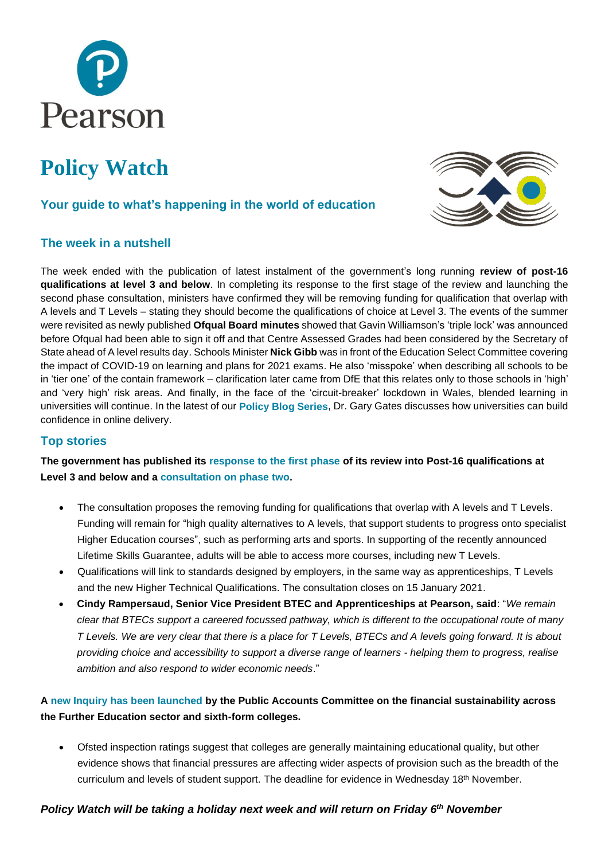

# **Policy Watch**

# **Your guide to what's happening in the world of education**

# **The week in a nutshell**

The week ended with the publication of latest instalment of the government's long running **review of post-16 qualifications at level 3 and below**. In completing its response to the first stage of the review and launching the second phase consultation, ministers have confirmed they will be removing funding for qualification that overlap with A levels and T Levels – stating they should become the qualifications of choice at Level 3. The events of the summer were revisited as newly published **Ofqual Board minutes** showed that Gavin Williamson's 'triple lock' was announced before Ofqual had been able to sign it off and that Centre Assessed Grades had been considered by the Secretary of State ahead of A level results day. Schools Minister **Nick Gibb** was in front of the Education Select Committee covering the impact of COVID-19 on learning and plans for 2021 exams. He also 'misspoke' when describing all schools to be in 'tier one' of the contain framework – clarification later came from DfE that this relates only to those schools in 'high' and 'very high' risk areas. And finally, in the face of the 'circuit-breaker' lockdown in Wales, blended learning in universities will continue. In the latest of our **[Policy Blog Series](https://www.pearson.com/uk/about-us/news-and-policy/blogs/2020/10/developing-confidence-in-online-delivery-within-higher-education.html)**, Dr. Gary Gates discusses how universities can build confidence in online delivery.

# **Top stories**

**The government has published its [response to the first phase](https://www.gov.uk/government/consultations/review-of-post-16-qualifications-at-level-3-and-below-in-england) of its review into Post-16 qualifications at Level 3 and below and a consultation [on phase two.](https://consult.education.gov.uk/post-16-qualifications-review-team/review-of-post-16-qualifications-at-level-3/)**

- The consultation proposes the removing funding for qualifications that overlap with A levels and T Levels. Funding will remain for "high quality alternatives to A levels, that support students to progress onto specialist Higher Education courses", such as performing arts and sports. In supporting of the recently announced Lifetime Skills Guarantee, adults will be able to access more courses, including new T Levels.
- Qualifications will link to standards designed by employers, in the same way as apprenticeships, T Levels and the new Higher Technical Qualifications. The consultation closes on 15 January 2021.
- **Cindy Rampersaud, Senior Vice President BTEC and Apprenticeships at Pearson, said**: "*We remain clear that BTECs support a careered focussed pathway, which is different to the occupational route of many T Levels. We are very clear that there is a place for T Levels, BTECs and A levels going forward. It is about providing choice and accessibility to support a diverse range of learners - helping them to progress, realise ambition and also respond to wider economic needs*."

# **A [new Inquiry has been launched](https://urldefense.proofpoint.com/v2/url?u=http-3A__email.comms.dehavilland.co.uk_c_eJwVj9GOhCAMRb9GXjYSQGeUBx-2DMmX3cf6hQlGwFA7ib-2DfvBpLlNe5uTWztZkOPomJ-2DUUEIKpeSjk0pzybUeFyVmNQzLIpbnq-2DmFiceRucUd-5FjwRBMtN5Ncv2yfzGMG53jmr-2Dw6dXuWqle1MZZt7wWjaSzlz082N-2Dq51o3wpiJmfkMjDgaFUVrX-2DY7rboHTVAwJsPmytiUS4YW6dDxCMB2rzlQvUafXky7ses1T-5FCR6Jn2gJ3zXyiZByDDXowcr0E8PXfJU4E6byAUjEUr8&d=DwMFAA&c=0YLnzTkWOdJlub_y7qAx8Q&r=q7qWwFGOrUH8qc4GnWEnq_jPQs9hGU9nLzk14IY_r4E&m=LNXR-2X2KywttL1tA-JHnAvtb_WijMeONeVKciDeEmI&s=Tgc73XQcUFMjnINfM12WpCD5hlwq94D_OPcZ8Bb-N7Q&e=) by the Public Accounts Committee on the financial sustainability across the Further Education sector and sixth-form colleges.**

• Ofsted inspection ratings suggest that colleges are generally maintaining educational quality, but other evidence shows that financial pressures are affecting wider aspects of provision such as the breadth of the curriculum and levels of student support. The deadline for evidence in Wednesday 18th November.

# *Policy Watch will be taking a holiday next week and will return on Friday 6 th November*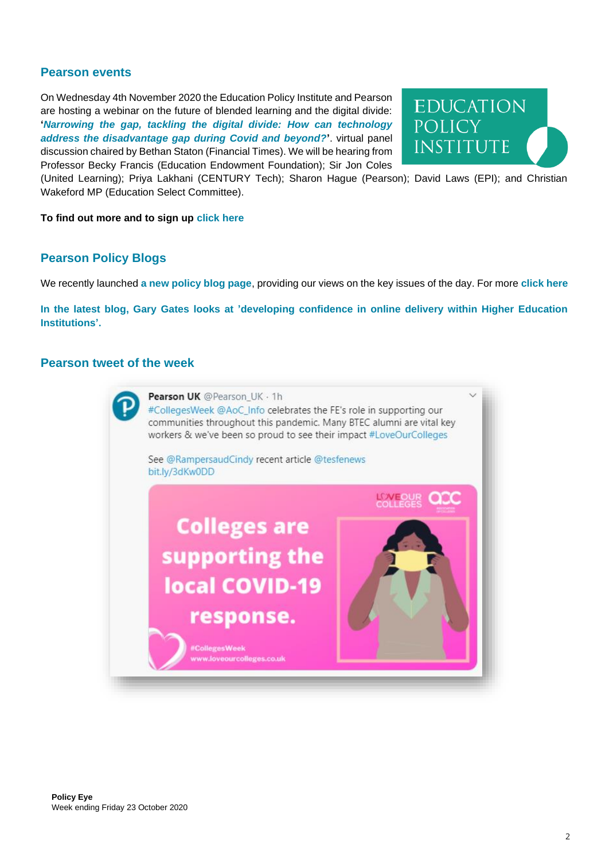# **Pearson events**

On Wednesday 4th November 2020 the Education Policy Institute and Pearson are hosting a webinar on the future of blended learning and the digital divide: **'***[Narrowing the gap, tackling the digital divide: How can technology](https://epi.org.uk/events/narrowing-the-gap-tackling-the-digital-divide/)  [address the disadvantage gap during Covid and beyond?](https://epi.org.uk/events/narrowing-the-gap-tackling-the-digital-divide/)***'**. virtual panel discussion chaired by Bethan Staton (Financial Times). We will be hearing from Professor Becky Francis (Education Endowment Foundation); Sir Jon Coles



(United Learning); Priya Lakhani (CENTURY Tech); Sharon Hague (Pearson); David Laws (EPI); and Christian Wakeford MP (Education Select Committee).

#### **To find out more and to sign up [click here](https://epi.org.uk/events/narrowing-the-gap-tackling-the-digital-divide/)**

#### **Pearson Policy Blogs**

We recently launched **a [new policy blog page](https://www.pearson.com/uk/about-us/news-and-policy/blogs.html)**, providing our views on the key issues of the day. For more **[click](https://www.pearson.com/uk/about-us/news-and-policy/blogs.html) here**

**In the [latest blog, Gary Gates looks at 'developing confidence in online delivery within Higher Education](https://www.pearson.com/uk/about-us/news-and-policy/blogs/2020/10/developing-confidence-in-online-delivery-within-higher-education.html)  [Institutions'.](https://www.pearson.com/uk/about-us/news-and-policy/blogs/2020/10/developing-confidence-in-online-delivery-within-higher-education.html)**

#### **Pearson tweet of the week**

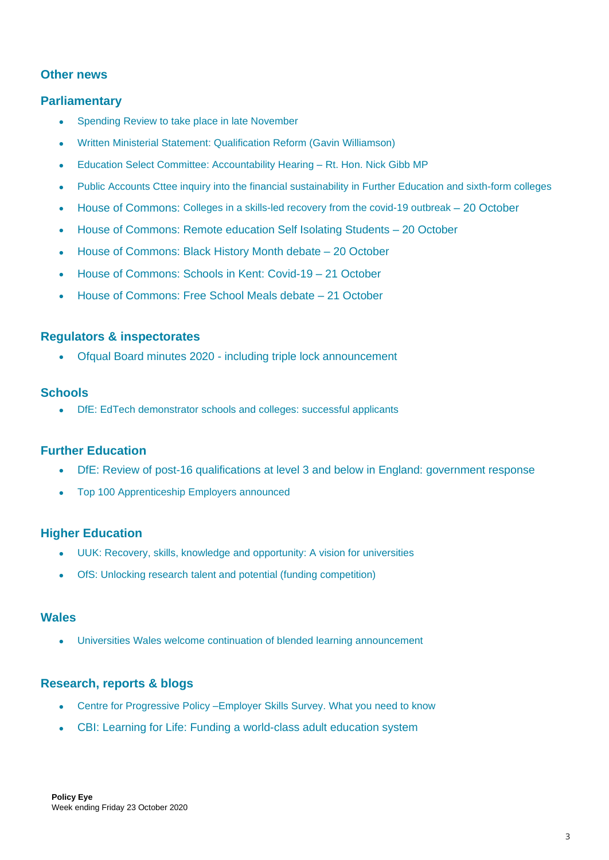# **Other news**

# **Parliamentary**

- Spending Review to take place in late [November](https://www.gov.uk/government/news/spending-review-to-conclude-late-november)
- Written Ministerial Statement: [Qualification](https://questions-statements.parliament.uk/written-statements/detail/2020-10-23/hcws538) Reform (Gavin Williamson)
- Education Select Committee: [Accountability](https://committees.parliament.uk/event/2411/formal-meeting-oral-evidence-session/) Hearing Rt. Hon. Nick Gibb MP
- Public Accounts Cttee inquiry into the financial [sustainability](https://urldefense.proofpoint.com/v2/url?u=http-3A__email.comms.dehavilland.co.uk_c_eJwVj9GOhCAMRb9GXjYSQGeUBx-2DMmX3cf6hQlGwFA7ib-2DfvBpLlNe5uTWztZkOPomJ-2DUUEIKpeSjk0pzybUeFyVmNQzLIpbnq-2DmFiceRucUd-5FjwRBMtN5Ncv2yfzGMG53jmr-2Dw6dXuWqle1MZZt7wWjaSzlz082N-2Dq51o3wpiJmfkMjDgaFUVrX-2DY7rboHTVAwJsPmytiUS4YW6dDxCMB2rzlQvUafXky7ses1T-5FCR6Jn2gJ3zXyiZByDDXowcr0E8PXfJU4E6byAUjEUr8&d=DwMFAA&c=0YLnzTkWOdJlub_y7qAx8Q&r=q7qWwFGOrUH8qc4GnWEnq_jPQs9hGU9nLzk14IY_r4E&m=LNXR-2X2KywttL1tA-JHnAvtb_WijMeONeVKciDeEmI&s=Tgc73XQcUFMjnINfM12WpCD5hlwq94D_OPcZ8Bb-N7Q&e=) in Further Education and sixth-form colleges
- House of [Commons:](https://hansard.parliament.uk/commons/2020-10-20/debates/46E22CA4-8C56-4109-8E6E-8B20F1587063/CollegesAndSkillsCovid-19) Colleges in a skills-led recovery from the covid-19 outbreak 20 October
- House of [Commons:](https://hansard.parliament.uk/commons/2020-10-20/debates/6AA55C2C-7004-4BB7-8680-A18EE0F05147/RemoteEducationSelf-IsolatingPupils) Remote education Self Isolating Students 20 October
- House of [Commons:](https://hansard.parliament.uk/commons/2020-10-20/debates/5B0E393E-8778-4973-B318-C17797DFBB22/BlackHistoryMonth) Black History Month debate 20 October
- House of [Commons:](https://hansard.parliament.uk/commons/2020-10-21/debates/03C99F38-4EA0-4A67-8AA7-3745F8C52039/SchoolsInKentCovid-19) Schools in Kent: Covid-19 21 October
- House of [Commons:](https://hansard.parliament.uk/Commons/2020-10-21/debates/79C0CA8D-CADF-4562-9317-5A51810BB5DE/FreeSchoolMeals) Free School Meals debate 21 October

## **Regulators & inspectorates**

• Ofqual Board minutes 2020 - including triple lock [announcement](https://www.gov.uk/government/publications/ofqual-board-minutes-for-2020)

#### **Schools**

• DfE: EdTech [demonstrator](https://www.gov.uk/government/publications/edtech-demonstrator-schools-and-colleges-successful-applicants) schools and colleges: successful applicants

## **Further Education**

- DfE: Review of post-16 [qualifications](https://www.gov.uk/government/consultations/review-of-post-16-qualifications-at-level-3-and-below-in-england) at level 3 and below in England: government response
- Top 100 [Apprenticeship](https://www.gov.uk/government/news/top-100-apprenticeship-employers-announced) Employers announced

#### **Higher Education**

- UUK: Recovery, skills, knowledge and [opportunity:](https://www.universitiesuk.ac.uk/policy-and-analysis/reports/Pages/uuk-he-vision-2020.aspx) A vision for universities
- OfS: Unlocking research talent and potential (funding [competition\)](https://www.officeforstudents.org.uk/news-blog-and-events/blog/unlocking-research-talent-and-potential/)

#### **Wales**

• Universities Wales welcome continuation of blended learning [announcement](https://www.uniswales.ac.uk/universities-wales-welcomes-announcement-that-blended-learning-can-continue-at-welsh-universities-during-the-firebreak/)

#### **Research, reports & blogs**

- Centre for [Progressive](https://www.progressive-policy.net/publications/employer-skills-survey-what-you-need-to-know) Policy –Employer Skills Survey. What you need to know
- CBI: Learning for Life: Funding a [world-class](https://www.cbi.org.uk/articles/learning-for-life-funding-a-world-class-adult-education-system/) adult education system